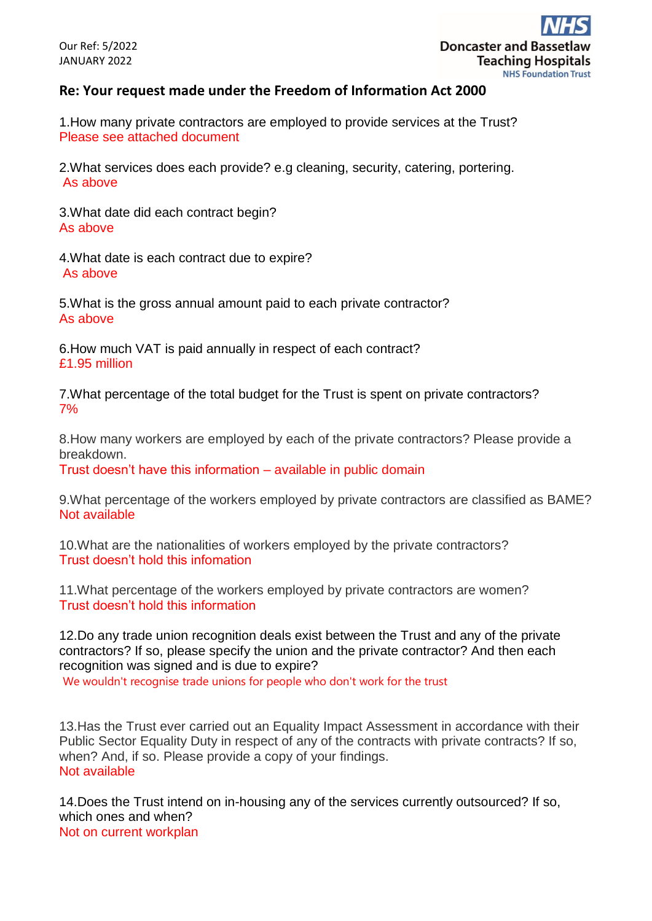## **Re: Your request made under the Freedom of Information Act 2000**

1.How many private contractors are employed to provide services at the Trust? Please see attached document

2.What services does each provide? e.g cleaning, security, catering, portering. As above

3.What date did each contract begin? As above

4.What date is each contract due to expire? As above

5.What is the gross annual amount paid to each private contractor? As above

6.How much VAT is paid annually in respect of each contract? £1.95 million

7.What percentage of the total budget for the Trust is spent on private contractors? 7%

8.How many workers are employed by each of the private contractors? Please provide a breakdown.

Trust doesn't have this information – available in public domain

9.What percentage of the workers employed by private contractors are classified as BAME? Not available

10.What are the nationalities of workers employed by the private contractors? Trust doesn't hold this infomation

11.What percentage of the workers employed by private contractors are women? Trust doesn't hold this information

12.Do any trade union recognition deals exist between the Trust and any of the private contractors? If so, please specify the union and the private contractor? And then each recognition was signed and is due to expire?

We wouldn't recognise trade unions for people who don't work for the trust

13.Has the Trust ever carried out an Equality Impact Assessment in accordance with their Public Sector Equality Duty in respect of any of the contracts with private contracts? If so, when? And, if so. Please provide a copy of your findings. Not available

14.Does the Trust intend on in-housing any of the services currently outsourced? If so, which ones and when? Not on current workplan